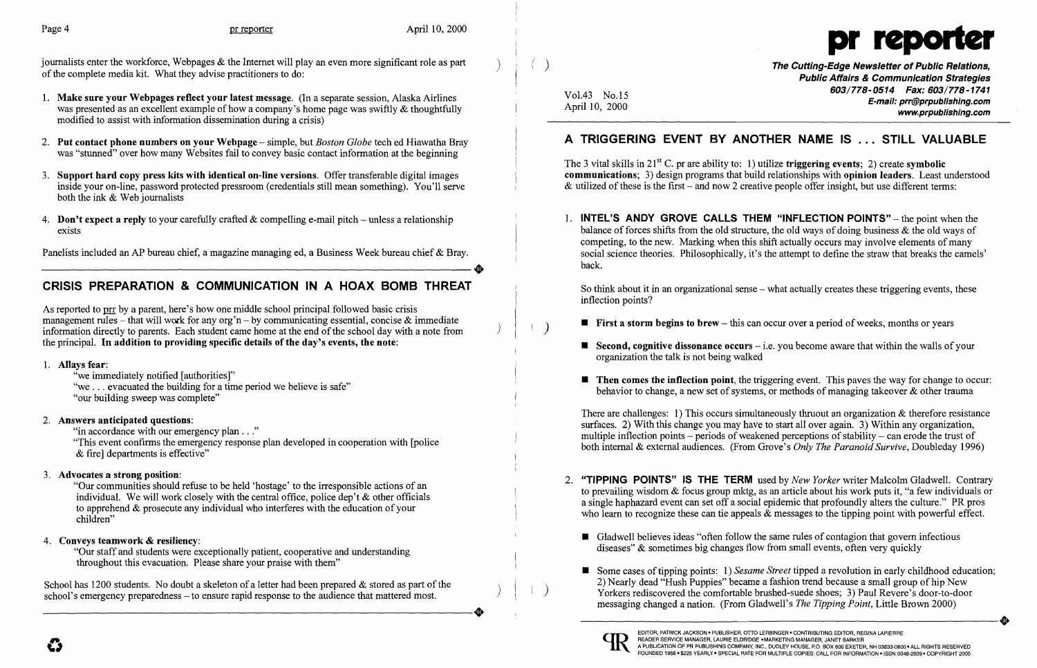

journalists enter the workforce, Webpages & the Internet will play an even more significant role as part of the complete media kit. What they advise practitioners to do:

) ( )

)  $\mid \cdot \rangle$ 

 $)$   $( )$ 

# A TRIGGERING EVENT BY ANOTHER NAME IS ... STILL VALUABLE

The 3 vital skills in  $21^{st}$  C. pr are ability to: 1) utilize triggering events; 2) create symbolic communications; 3) design programs that build relationships with opinion leaders. Least understood & utilized of these is the first – and now 2 creative people offer insight, but use different terms:

Vol.43 No.15 April 10, 2000 The Cutting-Edge Newsletter of Public Relations, Public Affairs & Communication Strategies *603/778-0514 Fax: 603/778-1741*  E-mail: prr@prpublishing.com www.prpublishing.com

**• Second, cognitive dissonance occurs** – i.e. you become aware that within the walls of your

 $\blacksquare$  Then comes the inflection point, the triggering event. This paves the way for change to occur: behavior to change, a new set of systems, or methods of managing takeover  $\&$  other trauma

- 1. Make sure your Webpages reflect your latest message. (In a separate session, Alaska Airlines was presented as an excellent example of how a company's home page was swiftly & thoughtfully modified to assist with information dissemination during a crisis)
- 2. Put contact phone numbers on your Webpage simple, but *Boston Globe* tech ed Hiawatha Bray was "stunned" over how many Websites fail to convey basic contact information at the beginning
- 3. Support hard copy press kits with identical on-line versions. Offer transferable digital images inside your on-line, password protected pressroom (credentials still mean something). You'll serve both the ink & Web journalists
- 4. Don't expect a reply to your carefully crafted  $\&$  compelling e-mail pitch unless a relationship exists

Panelists included an AP bureau chief, a magazine managing ed, a Business Week bureau chief & Bray.

1. **INTEL'S ANDY GROVE CALLS THEM "INFLECTION POINTS"** – the point when the balance of forces shifts from the old structure, the old ways of doing business  $\&$  the old ways of competing, to the new. Marking when this shift actually occurs may involve elements of many social science theories. Philosophically, it's the attempt to define the straw that breaks the camels' back.

As reported to prr by a parent, here's how one middle school principal followed basic crisis management rules – that will work for any org'n – by communicating essential, concise  $\&$  immediate information directly to parents. Each student came home at the end of the school day with a note from the principal. In addition to providing specific details of the day's events, the note:

So think about it in an organizational sense – what actually creates these triggering events, these inflection points?

- **First a storm begins to brew** this can occur over a period of weeks, months or years
- organization the talk is not being walked
- 

There are challenges: 1) This occurs simultaneously thruout an organization  $\&$  therefore resistance surfaces. 2) With this change you may have to start all over again. 3) Within any organization, multiple inflection points – periods of weakened perceptions of stability – can erode the trust of both internal & external audiences. (From Grove's *Only The Paranoid Survive,* Doubleday 1996)

- - diseases" & sometimes big changes flow from small events, often very quickly
	-



2. "TIPPING POINTS" IS THE TERM used by *New Yorker* writer Malcolm Gladwell. Contrary to prevailing wisdom & focus group mktg, as an article about his work puts it, "a few individuals or a single haphazard event can set off a social epidemic that profoundly alters the culture." PR pros who learn to recognize these can tie appeals  $\&$  messages to the tipping point with powerful effect.

**• Gladwell believes ideas "often follow the same rules of contagion that govern infectious** 

# CRISIS PREPARATION & COMMUNICATION IN A HOAX BOMB THREAT

### 1. Allays fear:

"we immediately notified [authorities]" "we ... evacuated the building for a time period we believe is safe" "our building sweep was complete"

> Yorkers rediscovered the comfortable brushed-suede shoes; 3) Paul Revere's door-to-door messaging changed a nation. (From Gladwell's *The Tipping Point*, Little Brown 2000) ■ Some cases of tipping points: 1) *Sesame Street* tipped a revolution in early childhood education; 2) Nearly dead "Hush Puppies" became a fashion trend because a small group of hip New Yorkers rediscovered the comfortable brushed-suede shoes; 3) Paul Revere's door-to-door messaging changed a nation. (From Gladwell's *The Tipping Paint,* Little Brown 2000)



### 2. Answers anticipated questions:

"in accordance with our emergency plan . . ."

"This event confirms the emergency response plan developed in cooperation with [police & fire] departments is effective"

## 3. Advocates a strong position:

"Our communities should refuse to be held 'hostage' to the irresponsible actions of an individual. We will work closely with the central office, police dep't  $\&$  other officials to apprehend & prosecute any individual who interferes with the education of your children"

## 4. Conveys teamwork & resiliency:

"Our staff and students were exceptionally patient, cooperative and understanding throughout this evacuation. Please share your praise with them"

School has 1200 students. No doubt a skeleton of a letter had been prepared  $\&$  stored as part of the school's emergency preparedness – to ensure rapid response to the audience that mattered most. school's emergency preparedness – to ensure rapid response to the audience that mattered most.